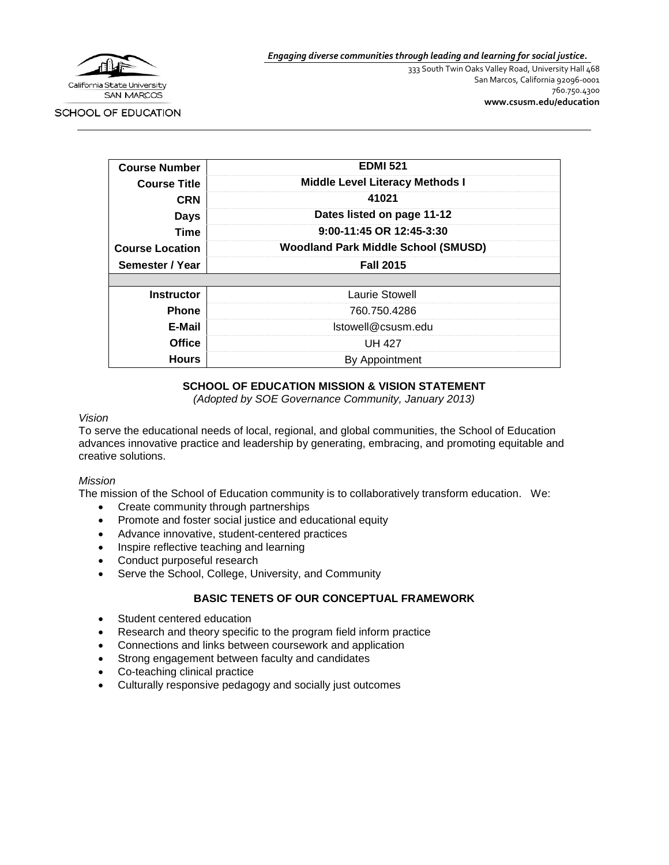

*Engaging diverse communities through leading and learning for social justice.*

333 South Twin Oaks Valley Road, University Hall 468 San Marcos, California 92096-0001 760.750.4300 **[www.csusm.edu/education](http://www.csusm.edu/education)**

SCHOOL OF EDUCATION

| <b>Course Number</b>   | <b>EDMI 521</b>                            |
|------------------------|--------------------------------------------|
| <b>Course Title</b>    | <b>Middle Level Literacy Methods I</b>     |
| <b>CRN</b>             | 41021                                      |
| <b>Days</b>            | Dates listed on page 11-12                 |
| <b>Time</b>            | 9:00-11:45 OR 12:45-3:30                   |
| <b>Course Location</b> | <b>Woodland Park Middle School (SMUSD)</b> |
| Semester / Year        | <b>Fall 2015</b>                           |
|                        |                                            |
| <b>Instructor</b>      | <b>Laurie Stowell</b>                      |
| <b>Phone</b>           | 760 750 4286                               |
| E-Mail                 | Istowell@csusm.edu                         |
| <b>Office</b>          | UH 427                                     |
| <b>Hours</b>           | By Appointment                             |

# **SCHOOL OF EDUCATION MISSION & VISION STATEMENT**

*(Adopted by SOE Governance Community, January 2013)*

#### *Vision*

To serve the educational needs of local, regional, and global communities, the School of Education advances innovative practice and leadership by generating, embracing, and promoting equitable and creative solutions.

#### *Mission*

The mission of the School of Education community is to collaboratively transform education. We:

- Create community through partnerships
- Promote and foster social justice and educational equity
- Advance innovative, student-centered practices
- Inspire reflective teaching and learning
- Conduct purposeful research
- Serve the School, College, University, and Community

# **BASIC TENETS OF OUR CONCEPTUAL FRAMEWORK**

- Student centered education
- Research and theory specific to the program field inform practice
- Connections and links between coursework and application
- Strong engagement between faculty and candidates
- Co-teaching clinical practice
- Culturally responsive pedagogy and socially just outcomes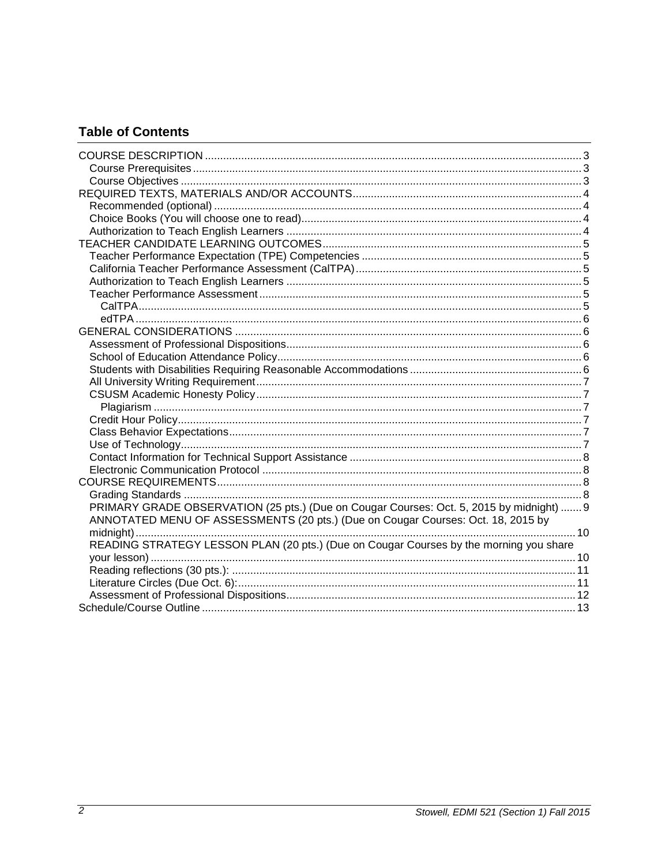# **Table of Contents**

| PRIMARY GRADE OBSERVATION (25 pts.) (Due on Cougar Courses: Oct. 5, 2015 by midnight)  9 |  |
|------------------------------------------------------------------------------------------|--|
| ANNOTATED MENU OF ASSESSMENTS (20 pts.) (Due on Cougar Courses: Oct. 18, 2015 by         |  |
|                                                                                          |  |
| READING STRATEGY LESSON PLAN (20 pts.) (Due on Cougar Courses by the morning you share   |  |
|                                                                                          |  |
|                                                                                          |  |
|                                                                                          |  |
|                                                                                          |  |
|                                                                                          |  |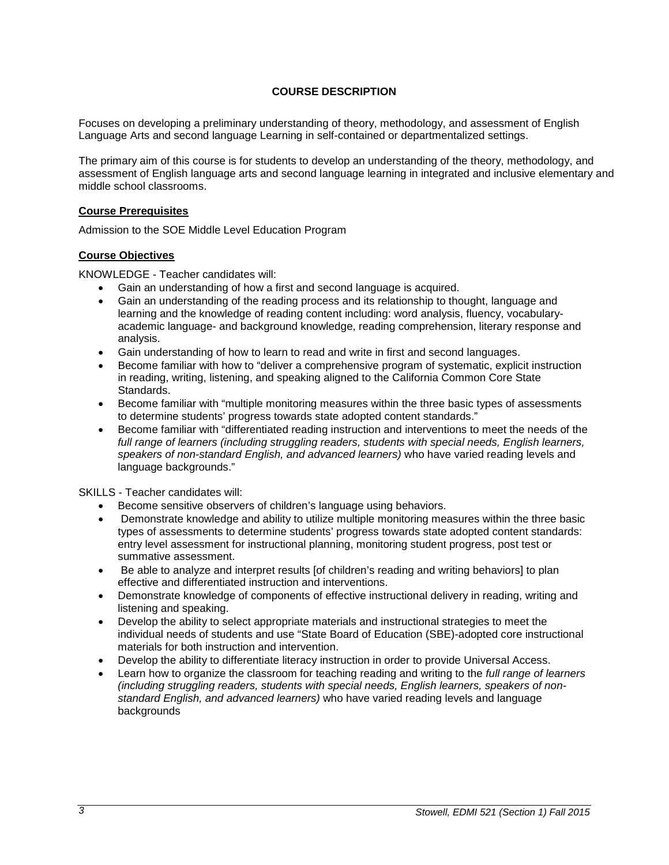# **COURSE DESCRIPTION**

<span id="page-2-0"></span>Focuses on developing a preliminary understanding of theory, methodology, and assessment of English Language Arts and second language Learning in self-contained or departmentalized settings.

The primary aim of this course is for students to develop an understanding of the theory, methodology, and assessment of English language arts and second language learning in integrated and inclusive elementary and middle school classrooms.

#### <span id="page-2-1"></span>**Course Prerequisites**

Admission to the SOE Middle Level Education Program

# <span id="page-2-2"></span>**Course Objectives**

KNOWLEDGE - Teacher candidates will:

- Gain an understanding of how a first and second language is acquired.
- Gain an understanding of the reading process and its relationship to thought, language and learning and the knowledge of reading content including: word analysis, fluency, vocabularyacademic language- and background knowledge, reading comprehension, literary response and analysis.
- Gain understanding of how to learn to read and write in first and second languages.
- Become familiar with how to "deliver a comprehensive program of systematic, explicit instruction in reading, writing, listening, and speaking aligned to the California Common Core State Standards.
- Become familiar with "multiple monitoring measures within the three basic types of assessments to determine students' progress towards state adopted content standards."
- Become familiar with "differentiated reading instruction and interventions to meet the needs of the full range of learners (including struggling readers, students with special needs, English learners, *speakers of non-standard English, and advanced learners)* who have varied reading levels and language backgrounds."

SKILLS - Teacher candidates will:

- Become sensitive observers of children's language using behaviors.
- Demonstrate knowledge and ability to utilize multiple monitoring measures within the three basic types of assessments to determine students' progress towards state adopted content standards: entry level assessment for instructional planning, monitoring student progress, post test or summative assessment.
- Be able to analyze and interpret results [of children's reading and writing behaviors] to plan effective and differentiated instruction and interventions.
- Demonstrate knowledge of components of effective instructional delivery in reading, writing and listening and speaking.
- Develop the ability to select appropriate materials and instructional strategies to meet the individual needs of students and use "State Board of Education (SBE)-adopted core instructional materials for both instruction and intervention.
- Develop the ability to differentiate literacy instruction in order to provide Universal Access.
- Learn how to organize the classroom for teaching reading and writing to the *full range of learners (including struggling readers, students with special needs, English learners, speakers of nonstandard English, and advanced learners)* who have varied reading levels and language backgrounds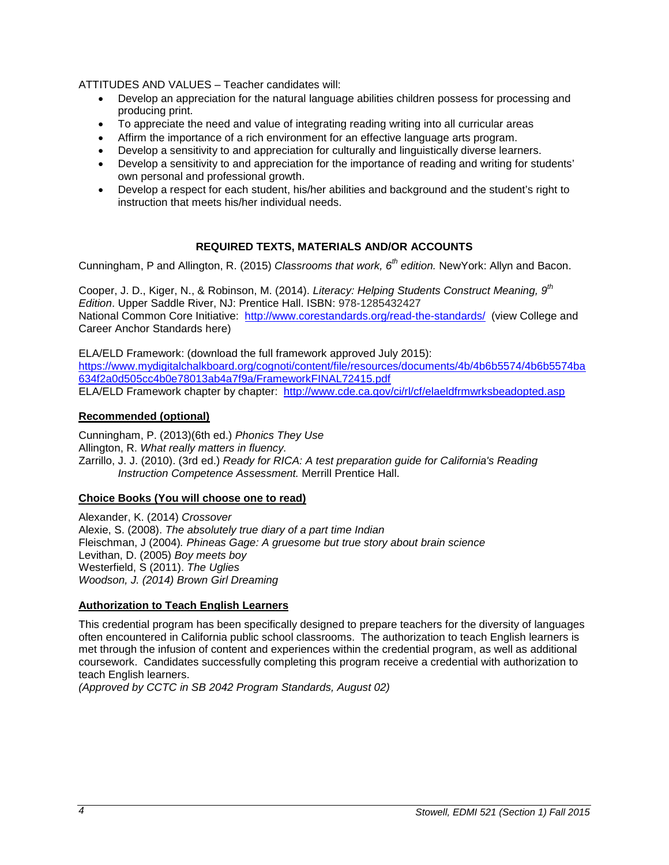ATTITUDES AND VALUES – Teacher candidates will:

- Develop an appreciation for the natural language abilities children possess for processing and producing print.
- To appreciate the need and value of integrating reading writing into all curricular areas
- Affirm the importance of a rich environment for an effective language arts program.
- Develop a sensitivity to and appreciation for culturally and linguistically diverse learners.
- Develop a sensitivity to and appreciation for the importance of reading and writing for students' own personal and professional growth.
- Develop a respect for each student, his/her abilities and background and the student's right to instruction that meets his/her individual needs.

# **REQUIRED TEXTS, MATERIALS AND/OR ACCOUNTS**

<span id="page-3-0"></span>Cunningham, P and Allington, R. (2015) *Classrooms that work, 6th edition.* NewYork: Allyn and Bacon.

Cooper, J. D., Kiger, N., & Robinson, M. (2014). *Literacy: Helping Students Construct Meaning, 9th Edition*. Upper Saddle River, NJ: Prentice Hall. ISBN: 978-1285432427 National Common Core Initiative: <http://www.corestandards.org/read-the-standards/>(view College and Career Anchor Standards here)

ELA/ELD Framework: (download the full framework approved July 2015): [https://www.mydigitalchalkboard.org/cognoti/content/file/resources/documents/4b/4b6b5574/4b6b5574ba](https://www.mydigitalchalkboard.org/cognoti/content/file/resources/documents/4b/4b6b5574/4b6b5574ba634f2a0d505cc4b0e78013ab4a7f9a/FrameworkFINAL72415.pdf) [634f2a0d505cc4b0e78013ab4a7f9a/FrameworkFINAL72415.pdf](https://www.mydigitalchalkboard.org/cognoti/content/file/resources/documents/4b/4b6b5574/4b6b5574ba634f2a0d505cc4b0e78013ab4a7f9a/FrameworkFINAL72415.pdf) ELA/ELD Framework chapter by chapter: <http://www.cde.ca.gov/ci/rl/cf/elaeldfrmwrksbeadopted.asp>

# <span id="page-3-1"></span>**Recommended (optional)**

Cunningham, P. (2013)(6th ed.) *Phonics They Use* Allington, R. *What really matters in fluency.* Zarrillo, J. J. (2010). (3rd ed.) *Ready for RICA: A test preparation guide for California's Reading Instruction Competence Assessment.* Merrill Prentice Hall.

# <span id="page-3-2"></span>**Choice Books (You will choose one to read)**

Alexander, K. (2014) *Crossover* Alexie, S. (2008). *The absolutely true diary of a part time Indian* Fleischman, J (2004)*. Phineas Gage: A gruesome but true story about brain science* Levithan, D. (2005) *Boy meets boy* Westerfield, S (2011). *The Uglies Woodson, J. (2014) Brown Girl Dreaming*

# <span id="page-3-3"></span>**Authorization to Teach English Learners**

This credential program has been specifically designed to prepare teachers for the diversity of languages often encountered in California public school classrooms. The authorization to teach English learners is met through the infusion of content and experiences within the credential program, as well as additional coursework. Candidates successfully completing this program receive a credential with authorization to teach English learners.

*(Approved by CCTC in SB 2042 Program Standards, August 02)*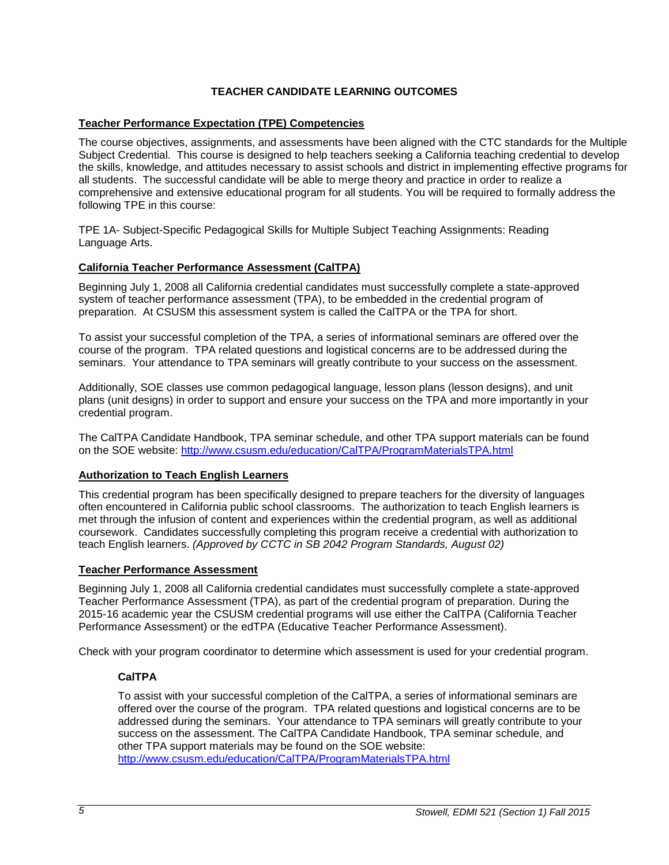# **TEACHER CANDIDATE LEARNING OUTCOMES**

# <span id="page-4-1"></span><span id="page-4-0"></span>**Teacher Performance Expectation (TPE) Competencies**

The course objectives, assignments, and assessments have been aligned with the CTC standards for the Multiple Subject Credential. This course is designed to help teachers seeking a California teaching credential to develop the skills, knowledge, and attitudes necessary to assist schools and district in implementing effective programs for all students. The successful candidate will be able to merge theory and practice in order to realize a comprehensive and extensive educational program for all students. You will be required to formally address the following TPE in this course:

TPE 1A- Subject-Specific Pedagogical Skills for Multiple Subject Teaching Assignments: Reading Language Arts.

# <span id="page-4-2"></span>**California Teacher Performance Assessment (CalTPA)**

Beginning July 1, 2008 all California credential candidates must successfully complete a state-approved system of teacher performance assessment (TPA), to be embedded in the credential program of preparation. At CSUSM this assessment system is called the CalTPA or the TPA for short.

To assist your successful completion of the TPA, a series of informational seminars are offered over the course of the program. TPA related questions and logistical concerns are to be addressed during the seminars. Your attendance to TPA seminars will greatly contribute to your success on the assessment.

Additionally, SOE classes use common pedagogical language, lesson plans (lesson designs), and unit plans (unit designs) in order to support and ensure your success on the TPA and more importantly in your credential program.

The CalTPA Candidate Handbook, TPA seminar schedule, and other TPA support materials can be found on the SOE website:<http://www.csusm.edu/education/CalTPA/ProgramMaterialsTPA.html>

#### <span id="page-4-3"></span>**Authorization to Teach English Learners**

This credential program has been specifically designed to prepare teachers for the diversity of languages often encountered in California public school classrooms. The authorization to teach English learners is met through the infusion of content and experiences within the credential program, as well as additional coursework. Candidates successfully completing this program receive a credential with authorization to teach English learners. *(Approved by CCTC in SB 2042 Program Standards, August 02)*

#### <span id="page-4-4"></span>**Teacher Performance Assessment**

Beginning July 1, 2008 all California credential candidates must successfully complete a state-approved Teacher Performance Assessment (TPA), as part of the credential program of preparation. During the 2015-16 academic year the CSUSM credential programs will use either the CalTPA (California Teacher Performance Assessment) or the edTPA (Educative Teacher Performance Assessment).

<span id="page-4-5"></span>Check with your program coordinator to determine which assessment is used for your credential program.

# **CalTPA**

To assist with your successful completion of the CalTPA, a series of informational seminars are offered over the course of the program. TPA related questions and logistical concerns are to be addressed during the seminars. Your attendance to TPA seminars will greatly contribute to your success on the assessment. The CalTPA Candidate Handbook, TPA seminar schedule, and other TPA support materials may be found on the SOE website: <http://www.csusm.edu/education/CalTPA/ProgramMaterialsTPA.html>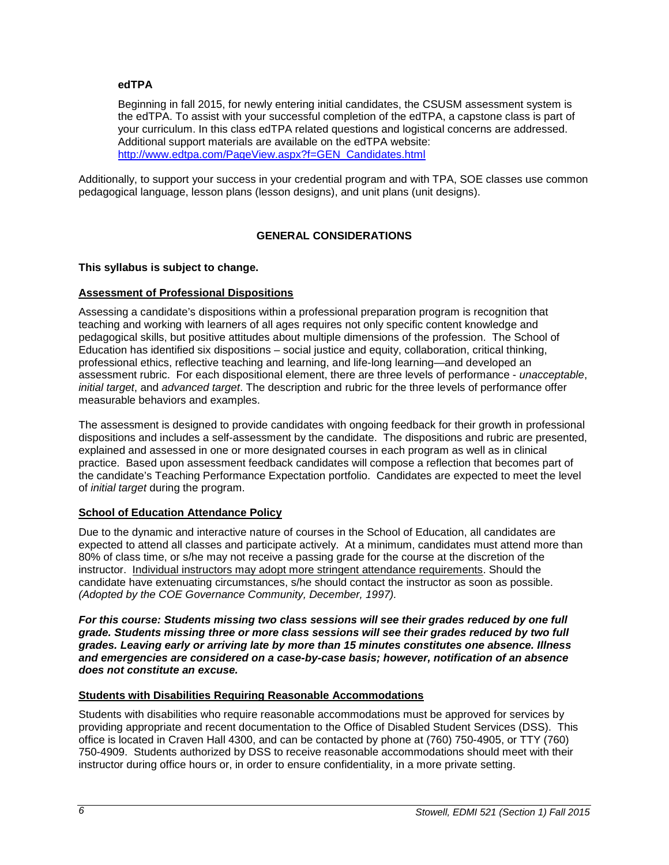# <span id="page-5-0"></span>**edTPA**

Beginning in fall 2015, for newly entering initial candidates, the CSUSM assessment system is the edTPA. To assist with your successful completion of the edTPA, a capstone class is part of your curriculum. In this class edTPA related questions and logistical concerns are addressed. Additional support materials are available on the edTPA website: [http://www.edtpa.com/PageView.aspx?f=GEN\\_Candidates.html](http://www.edtpa.com/PageView.aspx?f=GEN_Candidates.html)

Additionally, to support your success in your credential program and with TPA, SOE classes use common pedagogical language, lesson plans (lesson designs), and unit plans (unit designs).

# **GENERAL CONSIDERATIONS**

# <span id="page-5-1"></span>**This syllabus is subject to change.**

# <span id="page-5-2"></span>**Assessment of Professional Dispositions**

Assessing a candidate's dispositions within a professional preparation program is recognition that teaching and working with learners of all ages requires not only specific content knowledge and pedagogical skills, but positive attitudes about multiple dimensions of the profession. The School of Education has identified six dispositions – social justice and equity, collaboration, critical thinking, professional ethics, reflective teaching and learning, and life-long learning—and developed an assessment rubric. For each dispositional element, there are three levels of performance - *unacceptable*, *initial target*, and *advanced target*. The description and rubric for the three levels of performance offer measurable behaviors and examples.

The assessment is designed to provide candidates with ongoing feedback for their growth in professional dispositions and includes a self-assessment by the candidate. The dispositions and rubric are presented, explained and assessed in one or more designated courses in each program as well as in clinical practice. Based upon assessment feedback candidates will compose a reflection that becomes part of the candidate's Teaching Performance Expectation portfolio. Candidates are expected to meet the level of *initial target* during the program.

# <span id="page-5-3"></span>**School of Education Attendance Policy**

Due to the dynamic and interactive nature of courses in the School of Education, all candidates are expected to attend all classes and participate actively. At a minimum, candidates must attend more than 80% of class time, or s/he may not receive a passing grade for the course at the discretion of the instructor. Individual instructors may adopt more stringent attendance requirements. Should the candidate have extenuating circumstances, s/he should contact the instructor as soon as possible. *(Adopted by the COE Governance Community, December, 1997).*

*For this course: Students missing two class sessions will see their grades reduced by one full grade. Students missing three or more class sessions will see their grades reduced by two full grades. Leaving early or arriving late by more than 15 minutes constitutes one absence. Illness and emergencies are considered on a case-by-case basis; however, notification of an absence does not constitute an excuse.* 

#### <span id="page-5-4"></span>**Students with Disabilities Requiring Reasonable Accommodations**

Students with disabilities who require reasonable accommodations must be approved for services by providing appropriate and recent documentation to the Office of Disabled Student Services (DSS). This office is located in Craven Hall 4300, and can be contacted by phone at (760) 750-4905, or TTY (760) 750-4909. Students authorized by DSS to receive reasonable accommodations should meet with their instructor during office hours or, in order to ensure confidentiality, in a more private setting.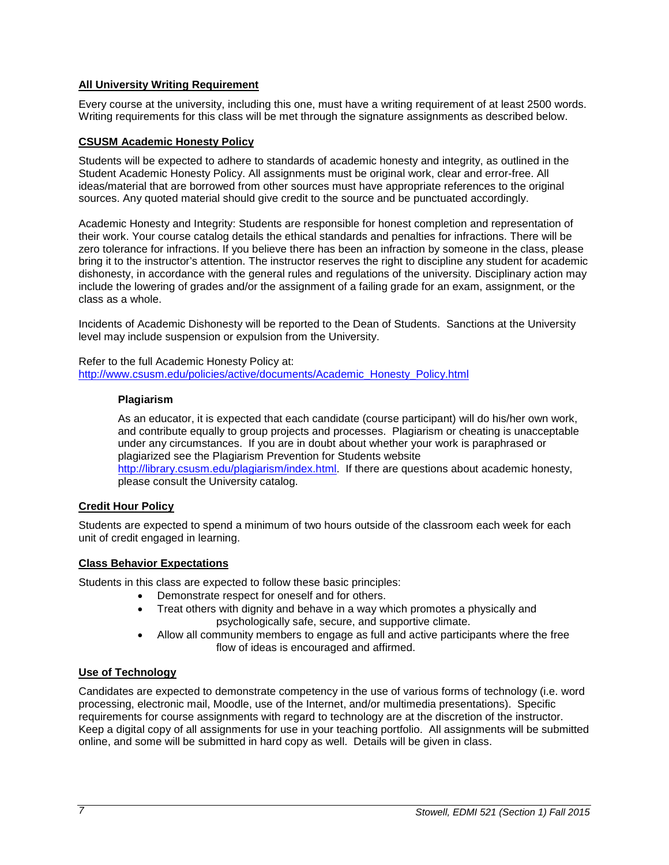# <span id="page-6-0"></span>**All University Writing Requirement**

Every course at the university, including this one, must have a writing requirement of at least 2500 words. Writing requirements for this class will be met through the signature assignments as described below.

# <span id="page-6-1"></span>**CSUSM Academic Honesty Policy**

Students will be expected to adhere to standards of academic honesty and integrity, as outlined in the Student Academic Honesty Policy. All assignments must be original work, clear and error-free. All ideas/material that are borrowed from other sources must have appropriate references to the original sources. Any quoted material should give credit to the source and be punctuated accordingly.

Academic Honesty and Integrity: Students are responsible for honest completion and representation of their work. Your course catalog details the ethical standards and penalties for infractions. There will be zero tolerance for infractions. If you believe there has been an infraction by someone in the class, please bring it to the instructor's attention. The instructor reserves the right to discipline any student for academic dishonesty, in accordance with the general rules and regulations of the university. Disciplinary action may include the lowering of grades and/or the assignment of a failing grade for an exam, assignment, or the class as a whole.

Incidents of Academic Dishonesty will be reported to the Dean of Students. Sanctions at the University level may include suspension or expulsion from the University.

<span id="page-6-2"></span>Refer to the full Academic Honesty Policy at: [http://www.csusm.edu/policies/active/documents/Academic\\_Honesty\\_Policy.html](http://www.csusm.edu/policies/active/documents/Academic_Honesty_Policy.html)

#### **Plagiarism**

As an educator, it is expected that each candidate (course participant) will do his/her own work, and contribute equally to group projects and processes. Plagiarism or cheating is unacceptable under any circumstances. If you are in doubt about whether your work is paraphrased or plagiarized see the Plagiarism Prevention for Students website [http://library.csusm.edu/plagiarism/index.html.](http://library.csusm.edu/plagiarism/index.html) If there are questions about academic honesty, please consult the University catalog.

# <span id="page-6-3"></span>**Credit Hour Policy**

Students are expected to spend a minimum of two hours outside of the classroom each week for each unit of credit engaged in learning.

# <span id="page-6-4"></span>**Class Behavior Expectations**

Students in this class are expected to follow these basic principles:

- Demonstrate respect for oneself and for others.
- Treat others with dignity and behave in a way which promotes a physically and psychologically safe, secure, and supportive climate.
- Allow all community members to engage as full and active participants where the free flow of ideas is encouraged and affirmed.

# <span id="page-6-5"></span>**Use of Technology**

Candidates are expected to demonstrate competency in the use of various forms of technology (i.e. word processing, electronic mail, Moodle, use of the Internet, and/or multimedia presentations). Specific requirements for course assignments with regard to technology are at the discretion of the instructor. Keep a digital copy of all assignments for use in your teaching portfolio. All assignments will be submitted online, and some will be submitted in hard copy as well. Details will be given in class.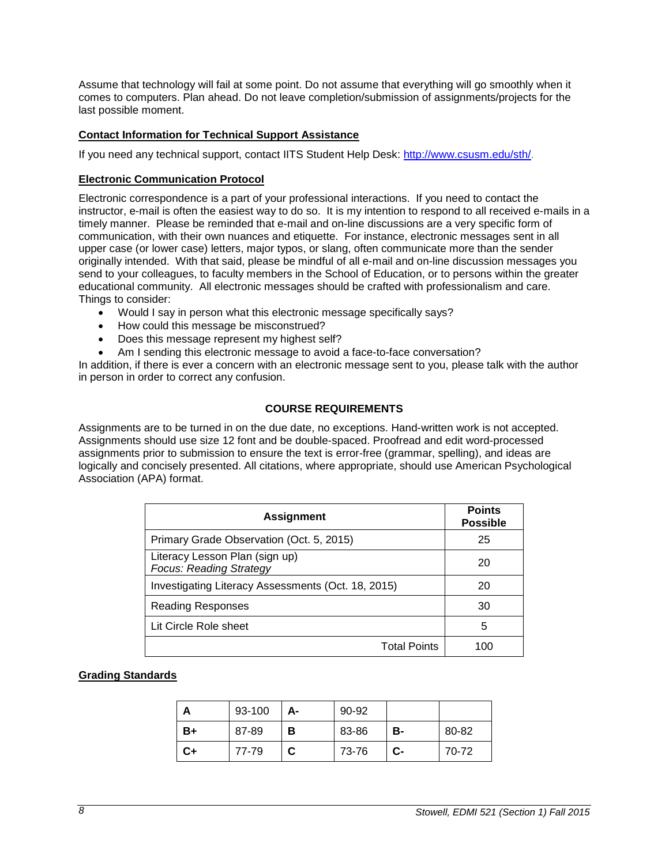Assume that technology will fail at some point. Do not assume that everything will go smoothly when it comes to computers. Plan ahead. Do not leave completion/submission of assignments/projects for the last possible moment.

# <span id="page-7-0"></span>**Contact Information for Technical Support Assistance**

If you need any technical support, contact IITS Student Help Desk: [http://www.csusm.edu/sth/.](http://www.csusm.edu/sth/)

#### <span id="page-7-1"></span>**Electronic Communication Protocol**

Electronic correspondence is a part of your professional interactions. If you need to contact the instructor, e-mail is often the easiest way to do so. It is my intention to respond to all received e-mails in a timely manner. Please be reminded that e-mail and on-line discussions are a very specific form of communication, with their own nuances and etiquette. For instance, electronic messages sent in all upper case (or lower case) letters, major typos, or slang, often communicate more than the sender originally intended. With that said, please be mindful of all e-mail and on-line discussion messages you send to your colleagues, to faculty members in the School of Education, or to persons within the greater educational community. All electronic messages should be crafted with professionalism and care. Things to consider:

- Would I say in person what this electronic message specifically says?
- How could this message be misconstrued?
- Does this message represent my highest self?
- Am I sending this electronic message to avoid a face-to-face conversation?

In addition, if there is ever a concern with an electronic message sent to you, please talk with the author in person in order to correct any confusion.

# **COURSE REQUIREMENTS**

<span id="page-7-2"></span>Assignments are to be turned in on the due date, no exceptions. Hand-written work is not accepted. Assignments should use size 12 font and be double-spaced. Proofread and edit word-processed assignments prior to submission to ensure the text is error-free (grammar, spelling), and ideas are logically and concisely presented. All citations, where appropriate, should use American Psychological Association (APA) format.

| <b>Assignment</b>                                                | <b>Points</b><br><b>Possible</b> |
|------------------------------------------------------------------|----------------------------------|
| Primary Grade Observation (Oct. 5, 2015)                         | 25                               |
| Literacy Lesson Plan (sign up)<br><b>Focus: Reading Strategy</b> | 20                               |
| Investigating Literacy Assessments (Oct. 18, 2015)               | 20                               |
| Reading Responses                                                | 30                               |
| Lit Circle Role sheet                                            | 5                                |
| <b>Total Points</b>                                              |                                  |

# <span id="page-7-3"></span>**Grading Standards**

| А  | 93-100 | А- | 90-92 |    |       |
|----|--------|----|-------|----|-------|
| B+ | 87-89  | в  | 83-86 | в- | 80-82 |
| C+ | 77-79  | C  | 73-76 | C- | 70-72 |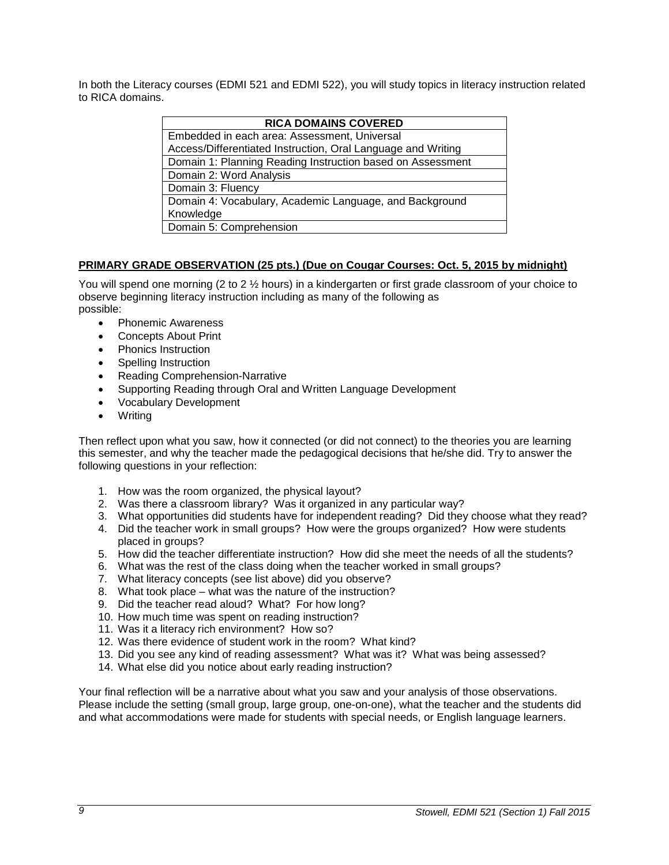In both the Literacy courses (EDMI 521 and EDMI 522), you will study topics in literacy instruction related to RICA domains.

| <b>RICA DOMAINS COVERED</b>                                  |  |  |
|--------------------------------------------------------------|--|--|
| Embedded in each area: Assessment, Universal                 |  |  |
| Access/Differentiated Instruction, Oral Language and Writing |  |  |
| Domain 1: Planning Reading Instruction based on Assessment   |  |  |
| Domain 2: Word Analysis                                      |  |  |
| Domain 3: Fluency                                            |  |  |
| Domain 4: Vocabulary, Academic Language, and Background      |  |  |
| Knowledge                                                    |  |  |
| Domain 5: Comprehension                                      |  |  |

# <span id="page-8-0"></span>**PRIMARY GRADE OBSERVATION (25 pts.) (Due on Cougar Courses: Oct. 5, 2015 by midnight)**

You will spend one morning (2 to 2 ½ hours) in a kindergarten or first grade classroom of your choice to observe beginning literacy instruction including as many of the following as possible:

- Phonemic Awareness
- Concepts About Print
- Phonics Instruction
- Spelling Instruction
- Reading Comprehension-Narrative
- Supporting Reading through Oral and Written Language Development
- Vocabulary Development
- Writing

Then reflect upon what you saw, how it connected (or did not connect) to the theories you are learning this semester, and why the teacher made the pedagogical decisions that he/she did. Try to answer the following questions in your reflection:

- 1. How was the room organized, the physical layout?
- 2. Was there a classroom library? Was it organized in any particular way?
- 3. What opportunities did students have for independent reading? Did they choose what they read?
- 4. Did the teacher work in small groups? How were the groups organized? How were students placed in groups?
- 5. How did the teacher differentiate instruction? How did she meet the needs of all the students?
- 6. What was the rest of the class doing when the teacher worked in small groups?
- 7. What literacy concepts (see list above) did you observe?
- 8. What took place what was the nature of the instruction?
- 9. Did the teacher read aloud? What? For how long?
- 10. How much time was spent on reading instruction?
- 11. Was it a literacy rich environment? How so?
- 12. Was there evidence of student work in the room? What kind?
- 13. Did you see any kind of reading assessment? What was it? What was being assessed?
- 14. What else did you notice about early reading instruction?

Your final reflection will be a narrative about what you saw and your analysis of those observations. Please include the setting (small group, large group, one-on-one), what the teacher and the students did and what accommodations were made for students with special needs, or English language learners.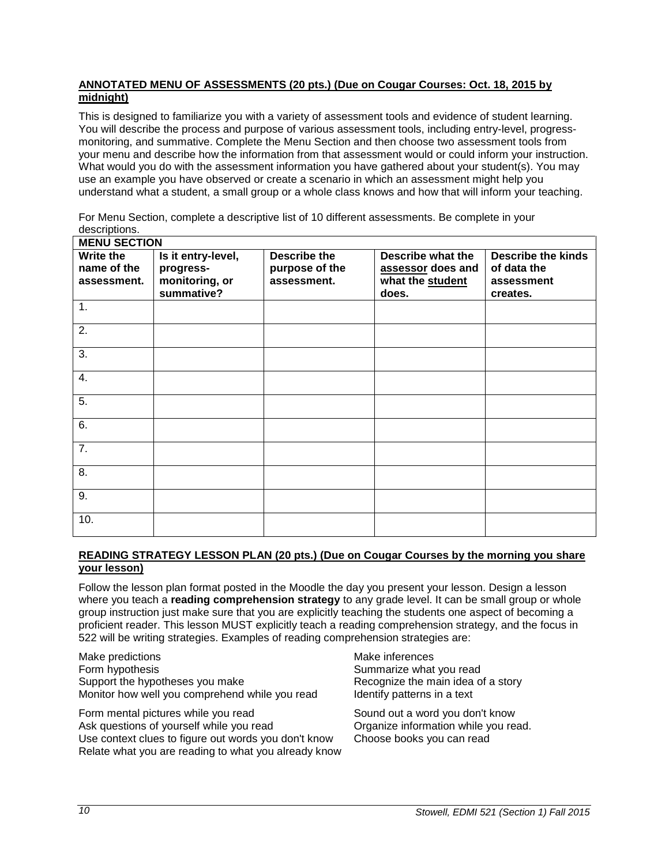# <span id="page-9-0"></span>**ANNOTATED MENU OF ASSESSMENTS (20 pts.) (Due on Cougar Courses: Oct. 18, 2015 by midnight)**

This is designed to familiarize you with a variety of assessment tools and evidence of student learning. You will describe the process and purpose of various assessment tools, including entry-level, progressmonitoring, and summative. Complete the Menu Section and then choose two assessment tools from your menu and describe how the information from that assessment would or could inform your instruction. What would you do with the assessment information you have gathered about your student(s). You may use an example you have observed or create a scenario in which an assessment might help you understand what a student, a small group or a whole class knows and how that will inform your teaching.

For Menu Section, complete a descriptive list of 10 different assessments. Be complete in your descriptions.

| <b>MENU SECTION</b>                     |                                                   |                                                      |                                                            |                                                        |
|-----------------------------------------|---------------------------------------------------|------------------------------------------------------|------------------------------------------------------------|--------------------------------------------------------|
| Write the<br>name of the<br>assessment. | Is it entry-level,<br>progress-<br>monitoring, or | <b>Describe the</b><br>purpose of the<br>assessment. | Describe what the<br>assessor does and<br>what the student | <b>Describe the kinds</b><br>of data the<br>assessment |
|                                         | summative?                                        |                                                      | does.                                                      | creates.                                               |
| 1.                                      |                                                   |                                                      |                                                            |                                                        |
| 2.                                      |                                                   |                                                      |                                                            |                                                        |
| 3.                                      |                                                   |                                                      |                                                            |                                                        |
| 4.                                      |                                                   |                                                      |                                                            |                                                        |
| 5.                                      |                                                   |                                                      |                                                            |                                                        |
| 6.                                      |                                                   |                                                      |                                                            |                                                        |
| 7.                                      |                                                   |                                                      |                                                            |                                                        |
| 8.                                      |                                                   |                                                      |                                                            |                                                        |
| 9.                                      |                                                   |                                                      |                                                            |                                                        |
| 10.                                     |                                                   |                                                      |                                                            |                                                        |

# <span id="page-9-1"></span>**READING STRATEGY LESSON PLAN (20 pts.) (Due on Cougar Courses by the morning you share your lesson)**

Follow the lesson plan format posted in the Moodle the day you present your lesson. Design a lesson where you teach a **reading comprehension strategy** to any grade level. It can be small group or whole group instruction just make sure that you are explicitly teaching the students one aspect of becoming a proficient reader. This lesson MUST explicitly teach a reading comprehension strategy, and the focus in 522 will be writing strategies. Examples of reading comprehension strategies are:

Make predictions and the matter of the Make inferences Form hypothesis **Summarize what you read** Summarize what you read Support the hypotheses you make Recognize the main idea of a story Monitor how well you comprehend while you read Identify patterns in a text

Form mental pictures while you read Sound out a word you don't know Ask questions of yourself while you read **Organize information while you read.**<br>Use context clues to figure out words you don't know Choose books you can read Use context clues to figure out words you don't know Relate what you are reading to what you already know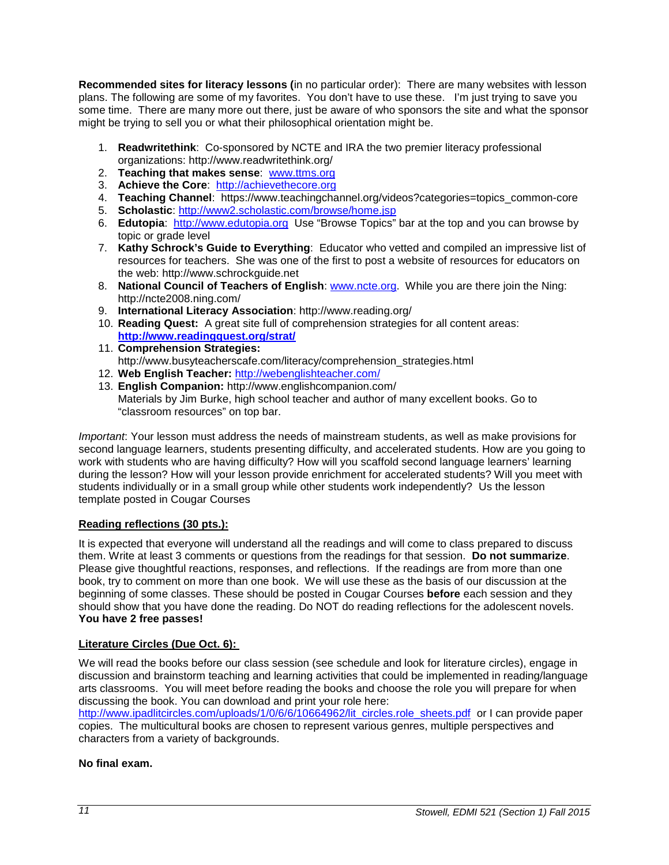**Recommended sites for literacy lessons (**in no particular order): There are many websites with lesson plans. The following are some of my favorites. You don't have to use these. I'm just trying to save you some time. There are many more out there, just be aware of who sponsors the site and what the sponsor might be trying to sell you or what their philosophical orientation might be.

- 1. **Readwritethink**: Co-sponsored by NCTE and IRA the two premier literacy professional organizations: http://www.readwritethink.org/
- 2. **Teaching that makes sense**: [www.ttms.org](http://www.ttms.org/)
- 3. **Achieve the Core**: [http://achievethecore.org](http://achievethecore.org/)
- 4. **Teaching Channel**: https://www.teachingchannel.org/videos?categories=topics\_common-core
- 5. **Scholastic**:<http://www2.scholastic.com/browse/home.jsp>
- 6. **Edutopia**: [http://www.edutopia.org](http://www.edutopia.org/) Use "Browse Topics" bar at the top and you can browse by topic or grade level
- 7. **Kathy Schrock's Guide to Everything**: Educator who vetted and compiled an impressive list of resources for teachers. She was one of the first to post a website of resources for educators on the web: http://www.schrockguide.net
- 8. **National Council of Teachers of English**: [www.ncte.org.](http://www.ncte.org/) While you are there join the Ning: http://ncte2008.ning.com/
- 9. **International Literacy Association**: http://www.reading.org/
- 10. **Reading Quest:** A great site full of comprehension strategies for all content areas: **<http://www.readingquest.org/strat/>**
- 11. **Comprehension Strategies:** http://www.busyteacherscafe.com/literacy/comprehension\_strategies.html
- 12. **Web English Teacher:** <http://webenglishteacher.com/>
- 13. **English Companion:** http://www.englishcompanion.com/ Materials by Jim Burke, high school teacher and author of many excellent books. Go to "classroom resources" on top bar.

*Important*: Your lesson must address the needs of mainstream students, as well as make provisions for second language learners, students presenting difficulty, and accelerated students. How are you going to work with students who are having difficulty? How will you scaffold second language learners' learning during the lesson? How will your lesson provide enrichment for accelerated students? Will you meet with students individually or in a small group while other students work independently? Us the lesson template posted in Cougar Courses

# <span id="page-10-0"></span>**Reading reflections (30 pts.):**

It is expected that everyone will understand all the readings and will come to class prepared to discuss them. Write at least 3 comments or questions from the readings for that session. **Do not summarize**. Please give thoughtful reactions, responses, and reflections. If the readings are from more than one book, try to comment on more than one book. We will use these as the basis of our discussion at the beginning of some classes. These should be posted in Cougar Courses **before** each session and they should show that you have done the reading. Do NOT do reading reflections for the adolescent novels. **You have 2 free passes!**

# <span id="page-10-1"></span>**Literature Circles (Due Oct. 6):**

We will read the books before our class session (see schedule and look for literature circles), engage in discussion and brainstorm teaching and learning activities that could be implemented in reading/language arts classrooms. You will meet before reading the books and choose the role you will prepare for when discussing the book. You can download and print your role here:

[http://www.ipadlitcircles.com/uploads/1/0/6/6/10664962/lit\\_circles.role\\_sheets.pdf](http://www.ipadlitcircles.com/uploads/1/0/6/6/10664962/lit_circles.role_sheets.pdf) or I can provide paper copies. The multicultural books are chosen to represent various genres, multiple perspectives and characters from a variety of backgrounds.

# **No final exam.**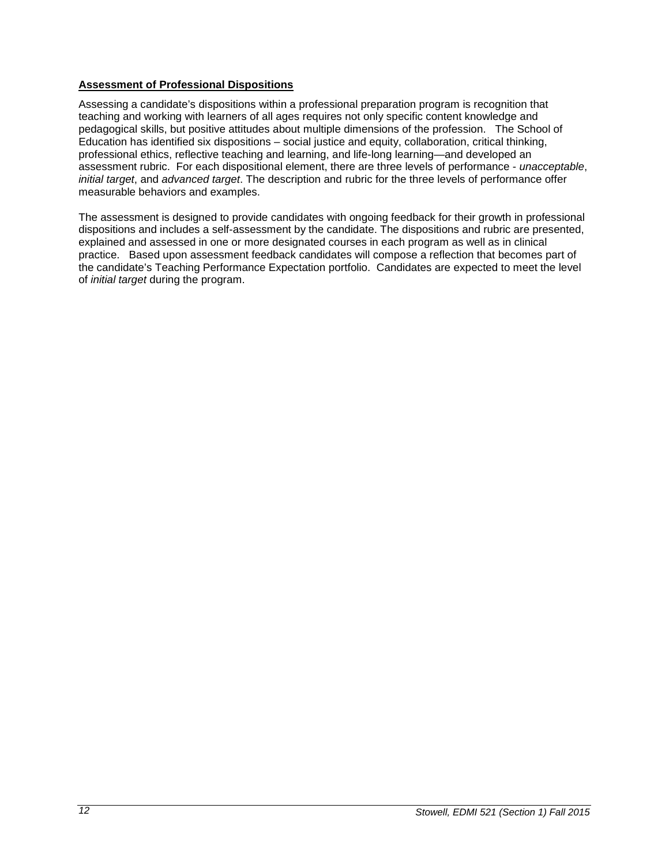# <span id="page-11-0"></span>**Assessment of Professional Dispositions**

Assessing a candidate's dispositions within a professional preparation program is recognition that teaching and working with learners of all ages requires not only specific content knowledge and pedagogical skills, but positive attitudes about multiple dimensions of the profession. The School of Education has identified six dispositions – social justice and equity, collaboration, critical thinking, professional ethics, reflective teaching and learning, and life-long learning—and developed an assessment rubric. For each dispositional element, there are three levels of performance - *unacceptable*, *initial target*, and *advanced target*. The description and rubric for the three levels of performance offer measurable behaviors and examples.

The assessment is designed to provide candidates with ongoing feedback for their growth in professional dispositions and includes a self-assessment by the candidate. The dispositions and rubric are presented, explained and assessed in one or more designated courses in each program as well as in clinical practice. Based upon assessment feedback candidates will compose a reflection that becomes part of the candidate's Teaching Performance Expectation portfolio. Candidates are expected to meet the level of *initial target* during the program.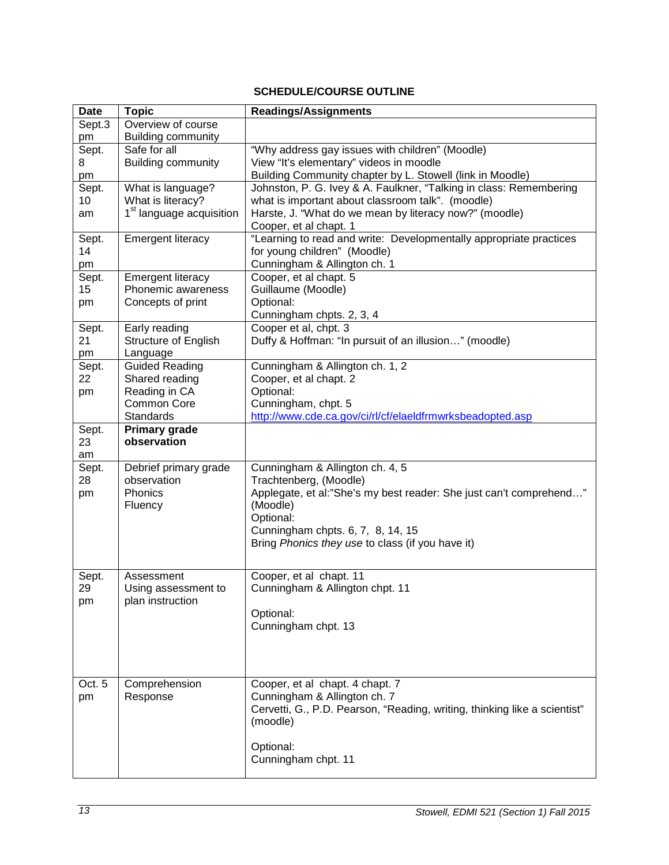# **SCHEDULE/COURSE OUTLINE**

<span id="page-12-0"></span>

| <b>Date</b> | <b>Topic</b>                         | <b>Readings/Assignments</b>                                                                  |  |
|-------------|--------------------------------------|----------------------------------------------------------------------------------------------|--|
| Sept.3      | Overview of course                   |                                                                                              |  |
| pm          | <b>Building community</b>            |                                                                                              |  |
| Sept.       | Safe for all                         | "Why address gay issues with children" (Moodle)                                              |  |
| 8           | <b>Building community</b>            | View "It's elementary" videos in moodle                                                      |  |
| pm          |                                      | Building Community chapter by L. Stowell (link in Moodle)                                    |  |
| Sept.       | What is language?                    | Johnston, P. G. Ivey & A. Faulkner, "Talking in class: Remembering                           |  |
| 10          | What is literacy?                    | what is important about classroom talk". (moodle)                                            |  |
| am          | 1 <sup>st</sup> language acquisition | Harste, J. "What do we mean by literacy now?" (moodle)                                       |  |
|             |                                      | Cooper, et al chapt. 1<br>"Learning to read and write: Developmentally appropriate practices |  |
| Sept.<br>14 | <b>Emergent literacy</b>             | for young children" (Moodle)                                                                 |  |
| pm          |                                      | Cunningham & Allington ch. 1                                                                 |  |
| Sept.       | <b>Emergent literacy</b>             | Cooper, et al chapt. 5                                                                       |  |
| 15          | Phonemic awareness                   | Guillaume (Moodle)                                                                           |  |
| pm          | Concepts of print                    | Optional:                                                                                    |  |
|             |                                      | Cunningham chpts. 2, 3, 4                                                                    |  |
| Sept.       | Early reading                        | Cooper et al, chpt. 3                                                                        |  |
| 21          | Structure of English                 | Duffy & Hoffman: "In pursuit of an illusion" (moodle)                                        |  |
| pm          | Language                             |                                                                                              |  |
| Sept.       | <b>Guided Reading</b>                | Cunningham & Allington ch. 1, 2                                                              |  |
| 22          | Shared reading                       | Cooper, et al chapt. 2                                                                       |  |
| pm          | Reading in CA                        | Optional:                                                                                    |  |
|             | <b>Common Core</b>                   | Cunningham, chpt. 5                                                                          |  |
|             | Standards                            | http://www.cde.ca.gov/ci/rl/cf/elaeldfrmwrksbeadopted.asp                                    |  |
| Sept.       | <b>Primary grade</b><br>observation  |                                                                                              |  |
| 23<br>am    |                                      |                                                                                              |  |
| Sept.       | Debrief primary grade                | Cunningham & Allington ch. 4, 5                                                              |  |
| 28          | observation                          | Trachtenberg, (Moodle)                                                                       |  |
| pm          | Phonics                              | Applegate, et al:"She's my best reader: She just can't comprehend"                           |  |
|             | Fluency                              | (Moodle)                                                                                     |  |
|             |                                      | Optional:                                                                                    |  |
|             |                                      | Cunningham chpts. 6, 7, 8, 14, 15                                                            |  |
|             |                                      | Bring Phonics they use to class (if you have it)                                             |  |
|             |                                      |                                                                                              |  |
| Sept.       | Assessment                           | Cooper, et al chapt. 11                                                                      |  |
| 29          | Using assessment to                  | Cunningham & Allington chpt. 11                                                              |  |
| pm          | plan instruction                     |                                                                                              |  |
|             |                                      | Optional:                                                                                    |  |
|             |                                      | Cunningham chpt. 13                                                                          |  |
|             |                                      |                                                                                              |  |
|             |                                      |                                                                                              |  |
|             |                                      |                                                                                              |  |
| Oct. 5      | Comprehension                        | Cooper, et al chapt. 4 chapt. 7                                                              |  |
| pm          | Response                             | Cunningham & Allington ch. 7                                                                 |  |
|             |                                      | Cervetti, G., P.D. Pearson, "Reading, writing, thinking like a scientist"                    |  |
|             |                                      | (moodle)                                                                                     |  |
|             |                                      |                                                                                              |  |
|             |                                      | Optional:                                                                                    |  |
|             |                                      | Cunningham chpt. 11                                                                          |  |
|             |                                      |                                                                                              |  |